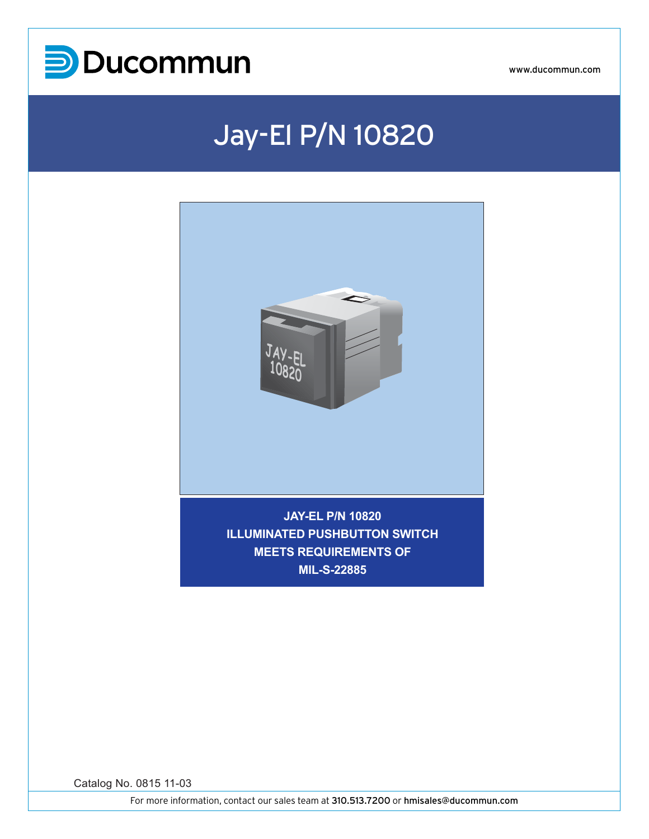

### Jay-El P/N 10820



**MIL-S-22885**

Catalog No. 0815 11-03

For more information, contact our sales team at 310.513.7200 or hmisales@ducommun.com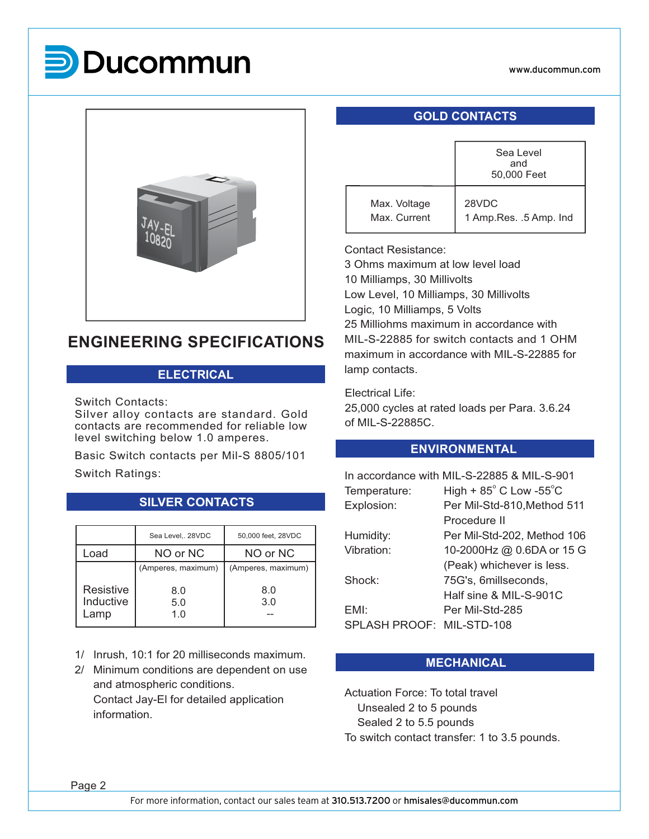# **P** Ducommun



### **ENGINEERING SPECIFICATIONS**

#### **ELECTRICAL**

Switch Contacts:

Silver alloy contacts are standard. Gold contacts are recommended for reliable low level switching below 1.0 amperes.

Basic Switch contacts per Mil-S 8805/101 Switch Ratings:

|                                | Sea Level,. 28VDC  | 50,000 feet, 28VDC |
|--------------------------------|--------------------|--------------------|
| _oad                           | NO or NC           | NO or NC           |
|                                | (Amperes, maximum) | (Amperes, maximum) |
| Resistive<br>Inductive<br>_amp | 8.0<br>5.0<br>1.0  | 8.0<br>3.0         |
|                                |                    |                    |

**SILVER CONTACTS**

1/ Inrush, 10:1 for 20 milliseconds maximum.

2/ Minimum conditions are dependent on use and atmospheric conditions. Contact Jay-El for detailed application information.

#### **GOLD CONTACTS**

|                              | Sea Level<br>and<br>50,000 Feet   |  |  |  |
|------------------------------|-----------------------------------|--|--|--|
| Max. Voltage<br>Max. Current | 28VDC<br>1 Amp. Res. . 5 Amp. Ind |  |  |  |

Contact Resistance:

3 Ohms maximum at low level load 10 Milliamps, 30 Millivolts Low Level, 10 Milliamps, 30 Millivolts Logic, 10 Milliamps, 5 Volts 25 Milliohms maximum in accordance with MIL-S-22885 for switch contacts and 1 OHM maximum in accordance with MIL-S-22885 for lamp contacts.

Electrical Life:

25,000 cycles at rated loads per Para. 3.6.24 of MIL-S-22885C.

#### **ENVIRONMENTAL**

| In accordance with MIL-S-22885 & MIL-S-901 |                                            |  |  |  |  |
|--------------------------------------------|--------------------------------------------|--|--|--|--|
| Temperature:                               | High + $85^{\circ}$ C Low -55 $^{\circ}$ C |  |  |  |  |
| Explosion:                                 | Per Mil-Std-810, Method 511                |  |  |  |  |
|                                            | Procedure II                               |  |  |  |  |
| Humidity:                                  | Per Mil-Std-202, Method 106                |  |  |  |  |
| Vibration:                                 | 10-2000Hz @ 0.6DA or 15 G                  |  |  |  |  |
|                                            | (Peak) whichever is less.                  |  |  |  |  |
| Shock:                                     | 75G's, 6millseconds,                       |  |  |  |  |
|                                            | Half sine & MIL-S-901C                     |  |  |  |  |
| EMI:                                       | Per Mil-Std-285                            |  |  |  |  |
| SPLASH PROOF:                              | MIL-STD-108                                |  |  |  |  |
|                                            |                                            |  |  |  |  |

#### **MECHANICAL**

Actuation Force: To total travel Unsealed 2 to 5 pounds Sealed 2 to 5.5 pounds To switch contact transfer: 1 to 3.5 pounds.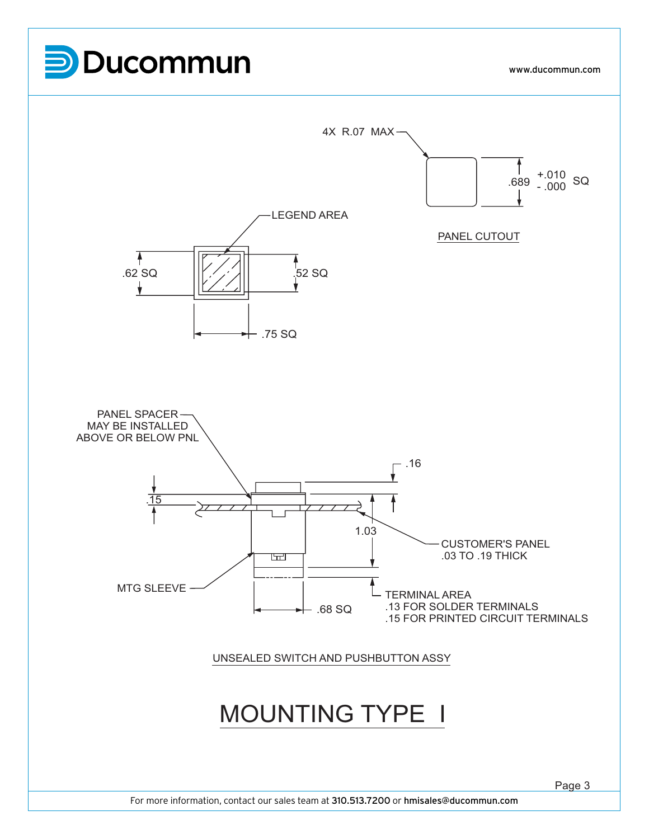

For more information, contact our sales team at 310.513.7200 or hmisales@ducommun.com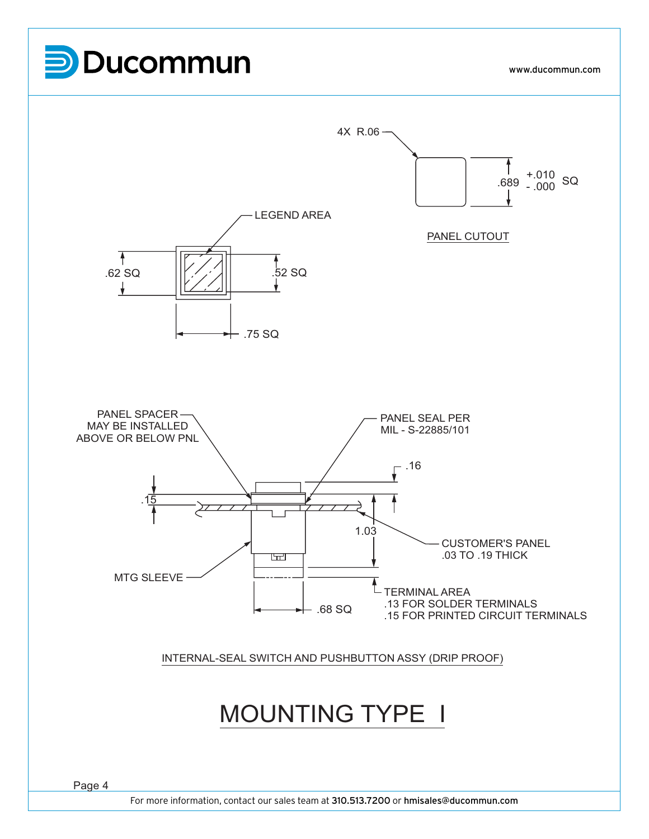## **P**Ducommun

www.ducommun.com

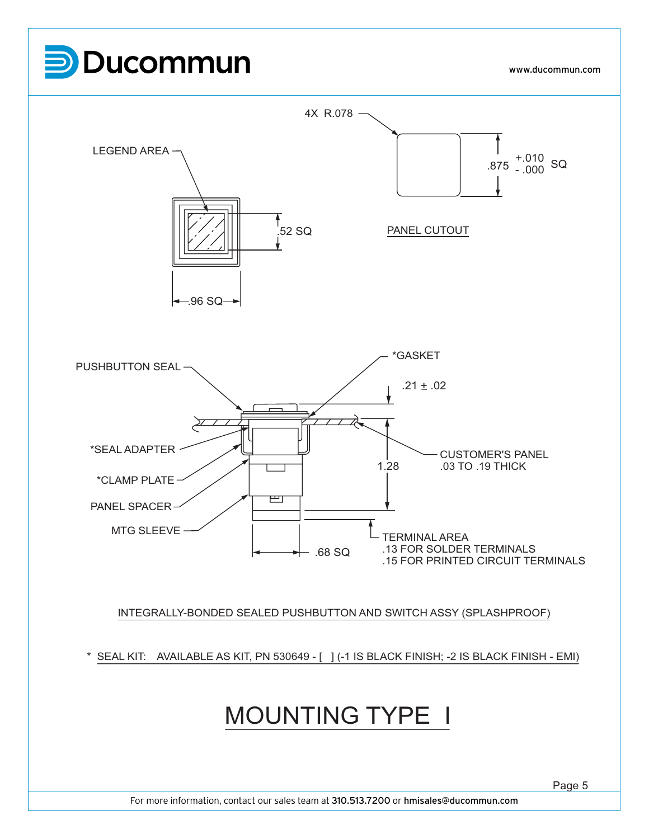

For more information, contact our sales team at 310.513.7200 or hmisales@ducommun.com

Page 5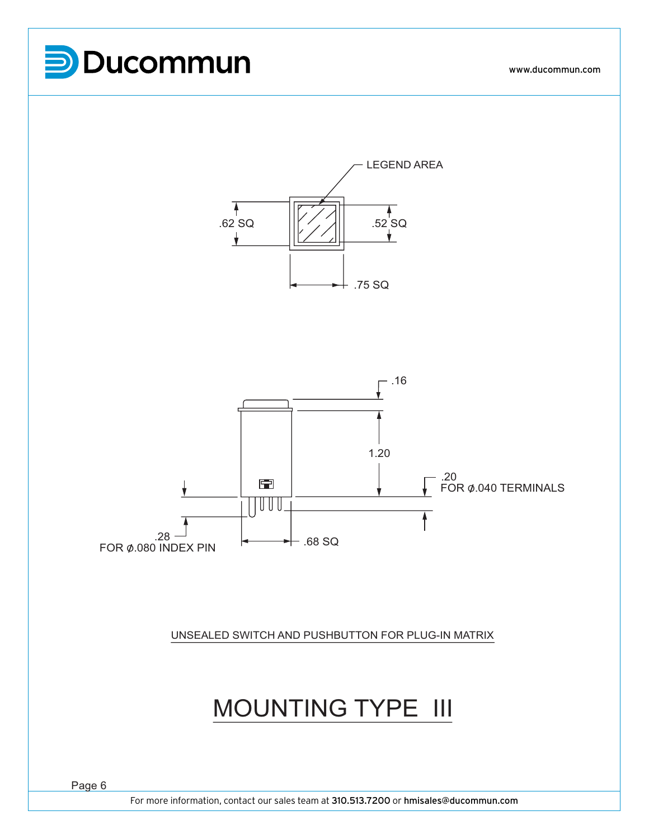





UNSEALED SWITCH AND PUSHBUTTON FOR PLUG-IN MATRIX

### MOUNTING TYPE III

For more information, contact our sales team at 310.513.7200 or hmisales@ducommun.com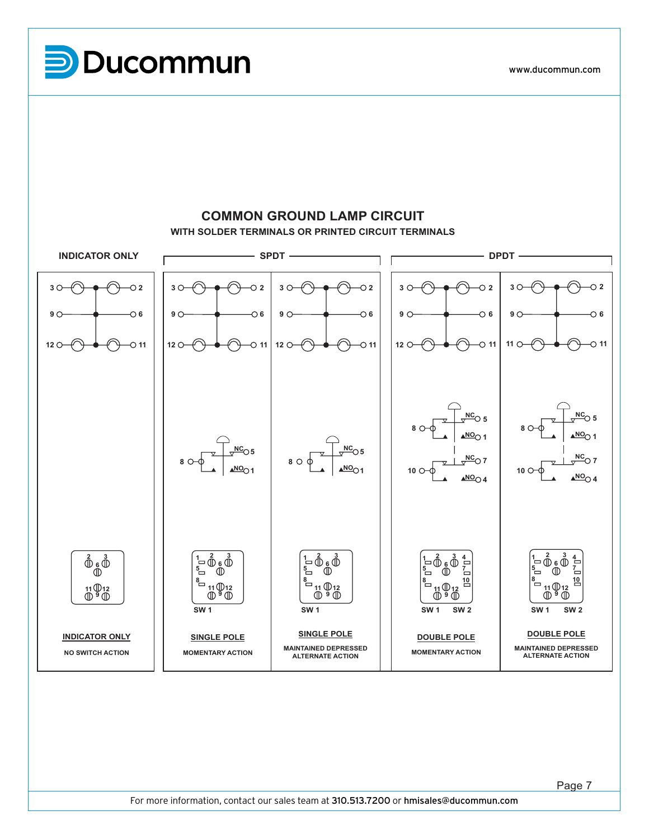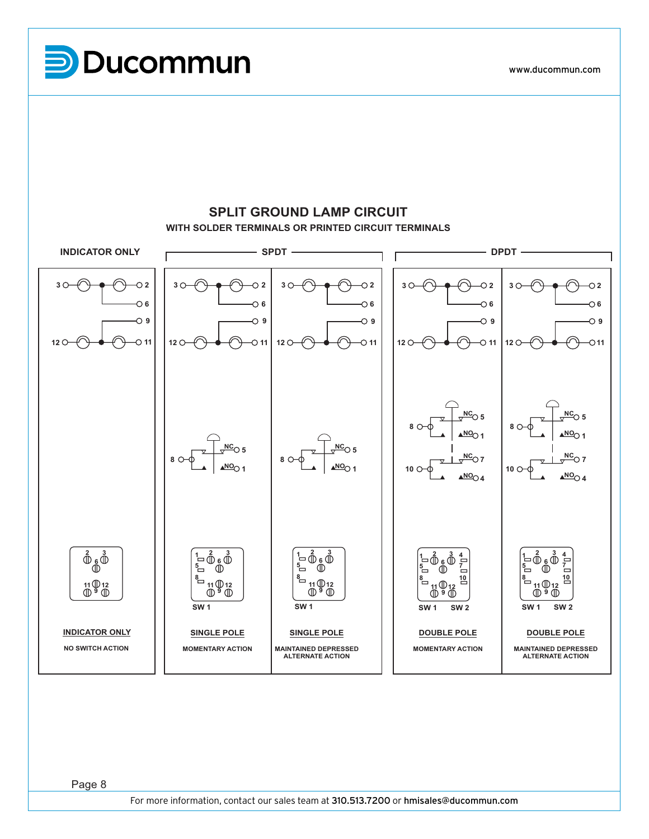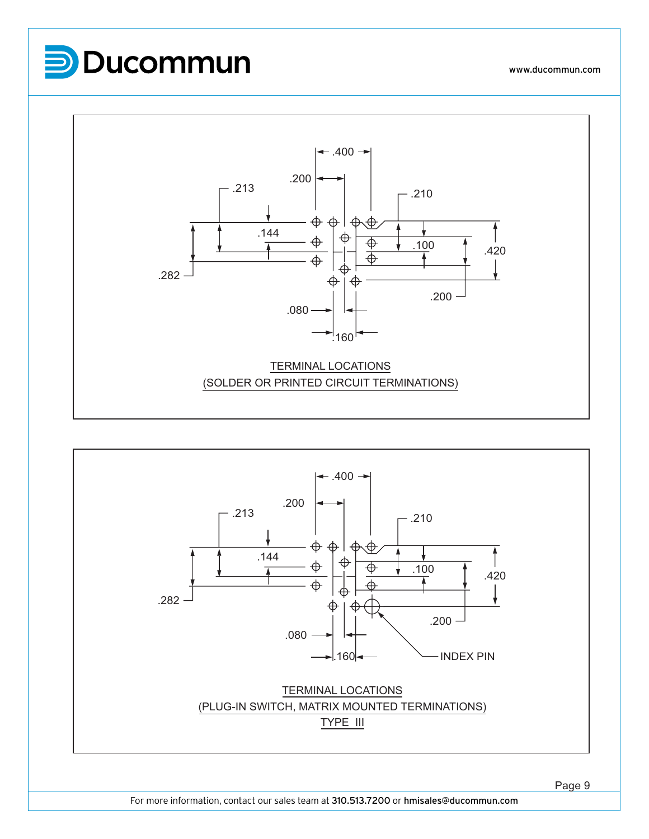



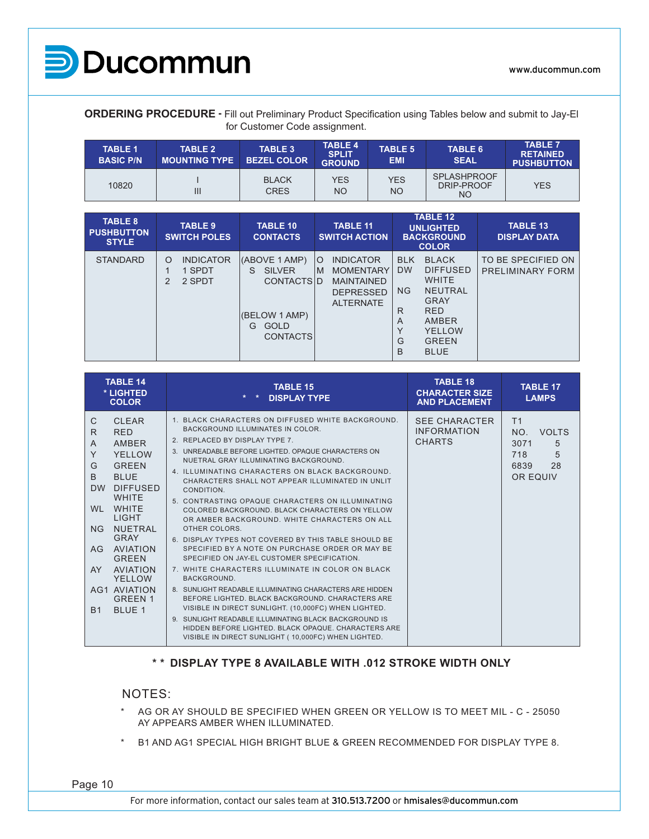

**ORDERING PROCEDURE -** Fill out Preliminary Product Specification using Tables below and submit to Jay-El for Customer Code assignment.

| <b>TABLE 1</b><br><b>BASIC P/N</b> | <b>TABLE 2</b><br><b>MOUNTING TYPE</b> | TABLE 3<br><b>BEZEL COLOR</b> | TABLE 4<br><b>SPLIT</b><br><b>GROUND</b> | <b>TABLE 5</b><br><b>EMI</b> | <b>TABLE 6</b><br><b>SEAL</b>           | <b>TABLE 7</b><br><b>RETAINED</b><br><b>PUSHBUTTON</b> |
|------------------------------------|----------------------------------------|-------------------------------|------------------------------------------|------------------------------|-----------------------------------------|--------------------------------------------------------|
| 10820                              | Ш                                      | <b>BLACK</b><br><b>CRES</b>   | <b>YES</b><br>NΟ                         | <b>YES</b><br><b>NO</b>      | <b>SPLASHPROOF</b><br>DRIP-PROOF<br>NO. | <b>YES</b>                                             |

| <b>TABLE 8</b><br><b>PUSHBUTTON</b><br><b>STYLE</b> | <b>TABLE 9</b><br><b>SWITCH POLES</b>                       | <b>TABLE 10</b><br><b>CONTACTS</b>                                                                                | <b>TABLE 11</b><br><b>SWITCH ACTION</b>                                                                           | <b>TABLE 12</b><br><b>UNLIGHTED</b><br><b>BACKGROUND</b><br><b>COLOR</b>                                                                                                                                                     | <b>TABLE 13</b><br><b>DISPLAY DATA</b> |
|-----------------------------------------------------|-------------------------------------------------------------|-------------------------------------------------------------------------------------------------------------------|-------------------------------------------------------------------------------------------------------------------|------------------------------------------------------------------------------------------------------------------------------------------------------------------------------------------------------------------------------|----------------------------------------|
| <b>STANDARD</b>                                     | <b>INDICATOR</b><br>O<br>1 SPDT<br>$\overline{2}$<br>2 SPDT | (ABOVE 1 AMP)<br><b>SILVER</b><br>S.<br><b>CONTACTSID</b><br>(BELOW 1 AMP)<br><b>GOLD</b><br>G<br><b>CONTACTS</b> | <b>INDICATOR</b><br>$\circ$<br><b>MOMENTARY</b><br>M<br><b>MAINTAINED</b><br><b>DEPRESSED</b><br><b>ALTERNATE</b> | <b>BLACK</b><br><b>BLK</b><br><b>DW</b><br><b>DIFFUSED</b><br><b>WHITE</b><br><b>NG</b><br><b>NEUTRAL</b><br><b>GRAY</b><br><b>RED</b><br>R<br>AMBER<br>A<br>$\checkmark$<br>YELLOW<br>G<br><b>GREEN</b><br>B<br><b>BLUE</b> | TO BE SPECIFIED ON<br>PRELIMINARY FORM |

| <b>TABLE 14</b><br>* LIGHTED<br><b>COLOR</b>                                                                                                                                                                                                                                                                                                                                                                | <b>TABLE 15</b><br><b>DISPLAY TYPE</b>                                                                                                                                                                                                                                                                                                                                                                                                                                                                                                                                                                                                                                                                                                                                                                                                                                                                                                                                                                                                                                                        | <b>TABLE 18</b><br><b>CHARACTER SIZE</b><br><b>AND PLACEMENT</b> | <b>TABLE 17</b><br><b>LAMPS</b>                                                          |
|-------------------------------------------------------------------------------------------------------------------------------------------------------------------------------------------------------------------------------------------------------------------------------------------------------------------------------------------------------------------------------------------------------------|-----------------------------------------------------------------------------------------------------------------------------------------------------------------------------------------------------------------------------------------------------------------------------------------------------------------------------------------------------------------------------------------------------------------------------------------------------------------------------------------------------------------------------------------------------------------------------------------------------------------------------------------------------------------------------------------------------------------------------------------------------------------------------------------------------------------------------------------------------------------------------------------------------------------------------------------------------------------------------------------------------------------------------------------------------------------------------------------------|------------------------------------------------------------------|------------------------------------------------------------------------------------------|
| C<br><b>CLEAR</b><br>R<br><b>RED</b><br>AMBER<br>A<br>Y<br>YFI I OW<br>G<br><b>GREEN</b><br>B<br><b>BLUE</b><br><b>DW</b><br><b>DIFFUSED</b><br><b>WHITE</b><br><b>WHITE</b><br><b>WI</b><br><b>LIGHT</b><br><b>NUETRAL</b><br><b>NG</b><br><b>GRAY</b><br>AVIATION<br>AG<br><b>GREEN</b><br><b>AVIATION</b><br>AY.<br><b>YELLOW</b><br><b>AG1 AVIATION</b><br><b>GREEN 1</b><br><b>BLUE 1</b><br><b>B1</b> | 1. BLACK CHARACTERS ON DIFFUSED WHITE BACKGROUND.<br>BACKGROUND ILLUMINATES IN COLOR.<br>2. REPLACED BY DISPLAY TYPE 7.<br>3. UNREADABLE BEFORE LIGHTED. OPAQUE CHARACTERS ON<br>NUETRAL GRAY ILLUMINATING BACKGROUND.<br>4. ILLUMINATING CHARACTERS ON BLACK BACKGROUND.<br>CHARACTERS SHALL NOT APPEAR ILLUMINATED IN UNLIT<br>CONDITION.<br>5. CONTRASTING OPAQUE CHARACTERS ON ILLUMINATING<br>COLORED BACKGROUND, BLACK CHARACTERS ON YELLOW<br>OR AMBER BACKGROUND. WHITE CHARACTERS ON ALL<br>OTHER COLORS.<br>6. DISPLAY TYPES NOT COVERED BY THIS TABLE SHOULD BE<br>SPECIFIED BY A NOTE ON PURCHASE ORDER OR MAY BE<br>SPECIFIED ON JAY-EL CUSTOMER SPECIFICATION.<br>7. WHITE CHARACTERS ILLUMINATE IN COLOR ON BLACK<br>BACKGROUND.<br>8. SUNLIGHT READABLE ILLUMINATING CHARACTERS ARE HIDDEN<br>BEFORE LIGHTED, BLACK BACKGROUND, CHARACTERS ARE<br>VISIBLE IN DIRECT SUNLIGHT. (10,000FC) WHEN LIGHTED.<br>9. SUNLIGHT READABLE ILLUMINATING BLACK BACKGROUND IS<br>HIDDEN BEFORE LIGHTED, BLACK OPAQUE, CHARACTERS ARE<br>VISIBLE IN DIRECT SUNLIGHT (10,000FC) WHEN LIGHTED. | <b>SEE CHARACTER</b><br><b>INFORMATION</b><br><b>CHARTS</b>      | T <sub>1</sub><br>NO.<br><b>VOLTS</b><br>5<br>3071<br>5<br>718<br>28<br>6839<br>OR EQUIV |

#### **\* \* DISPLAY TYPE 8 AVAILABLE WITH .012 STROKE WIDTH ONLY**

#### NOTES:

- \* AG OR AY SHOULD BE SPECIFIED WHEN GREEN OR YELLOW IS TO MEET MIL C 25050 AY APPEARS AMBER WHEN ILLUMINATED.
- B1 AND AG1 SPECIAL HIGH BRIGHT BLUE & GREEN RECOMMENDED FOR DISPLAY TYPE 8.

Page 10